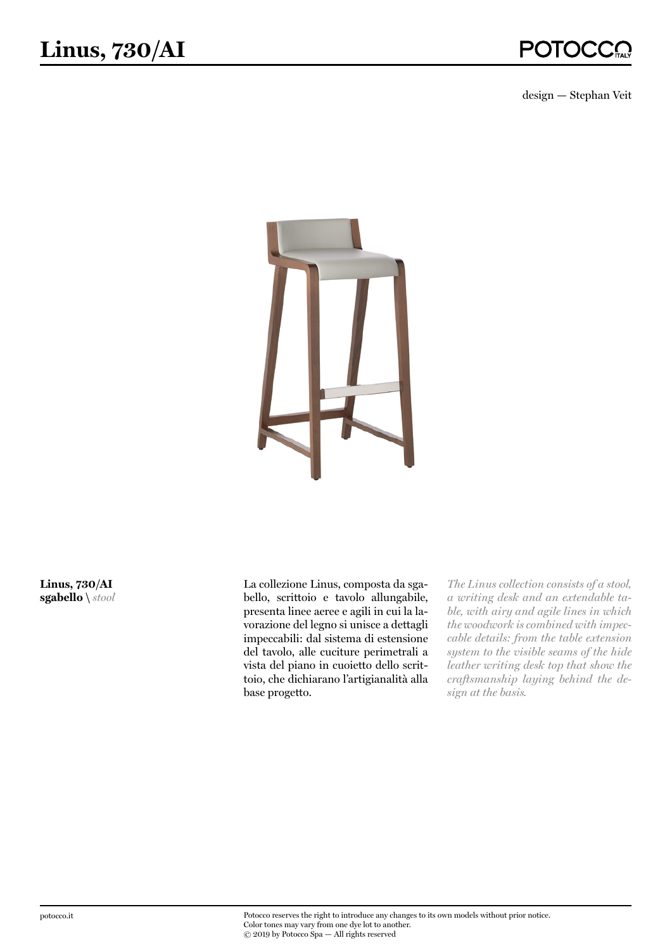design — Stephan Veit



**Linus, 730/AI sgabello \** *stool* La collezione Linus, composta da sgabello, scrittoio e tavolo allungabile, presenta linee aeree e agili in cui la lavorazione del legno si unisce a dettagli impeccabili: dal sistema di estensione del tavolo, alle cuciture perimetrali a vista del piano in cuoietto dello scrittoio, che dichiarano l'artigianalità alla base progetto.

*The Linus collection consists of a stool, a writing desk and an extendable table, with airy and agile lines in which the woodwork is combined with impeccable details: from the table extension system to the visible seams of the hide leather writing desk top that show the craftsmanship laying behind the design at the basis.*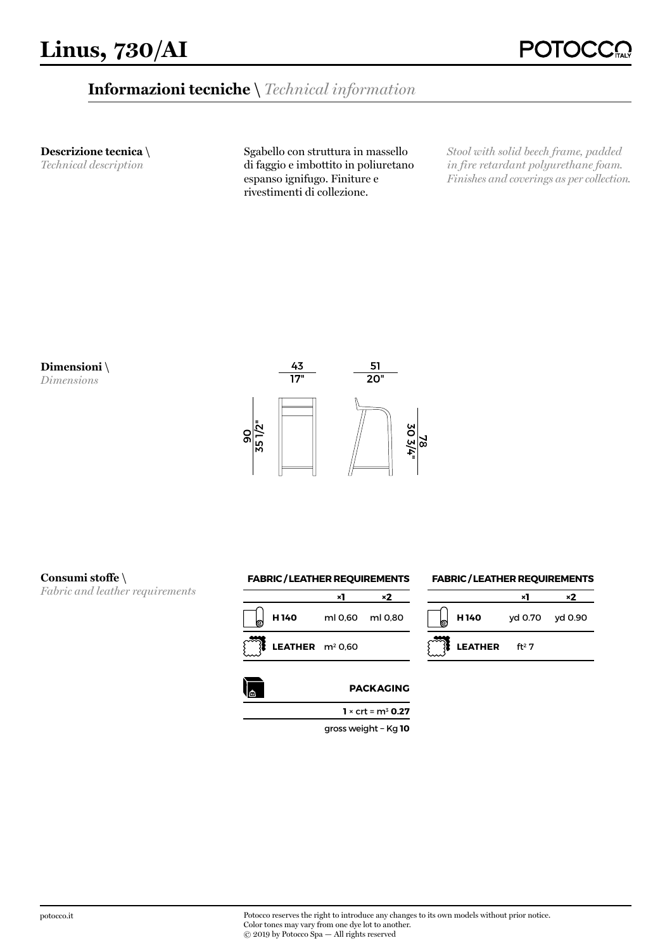## **Informazioni tecniche \** *Technical information*

**Descrizione tecnica \** 

*Technical description*

Sgabello con struttura in massello di faggio e imbottito in poliuretano espanso ignifugo. Finiture e rivestimenti di collezione.

*Stool with solid beech frame, padded in fire retardant polyurethane foam. Finishes and coverings as per collection.*



*Dimensions*



## **Consumi stoffe \**

*Fabric and leather requirements*





**LEATHER** ft<sup>2</sup> 7

**FABRIC / LEATHER REQUIREMENTS**

**H 140** yd 0.70 yd 0.90

**×1 ×2** 

**1** × crt = m3 **0.27**

gross weight − Kg **10**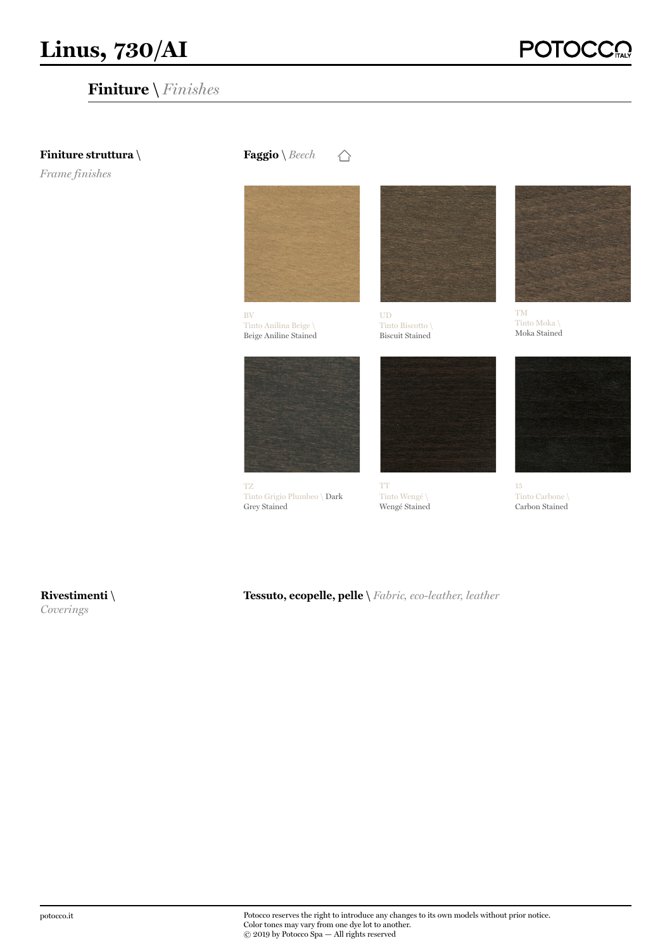# **Finiture \** *Finishes*

**POTC** 

### **Finiture struttura \**

*Frame finishes*

**Faggio** \ *Beech* △



Tinto Anilina Beige \ Beige Aniline Stained



TZ Tinto Grigio Plumbeo \ Dark Grey Stained



UD Tinto Biscotto \ Biscuit Stained



TT Tinto Wengé \ Wengé Stained



TM Tinto Moka \ Moka Stained



15 Tinto Carbone \ Carbon Stained

**Rivestimenti \** *Coverings*

**Tessuto, ecopelle, pelle \** *Fabric, eco-leather, leather*